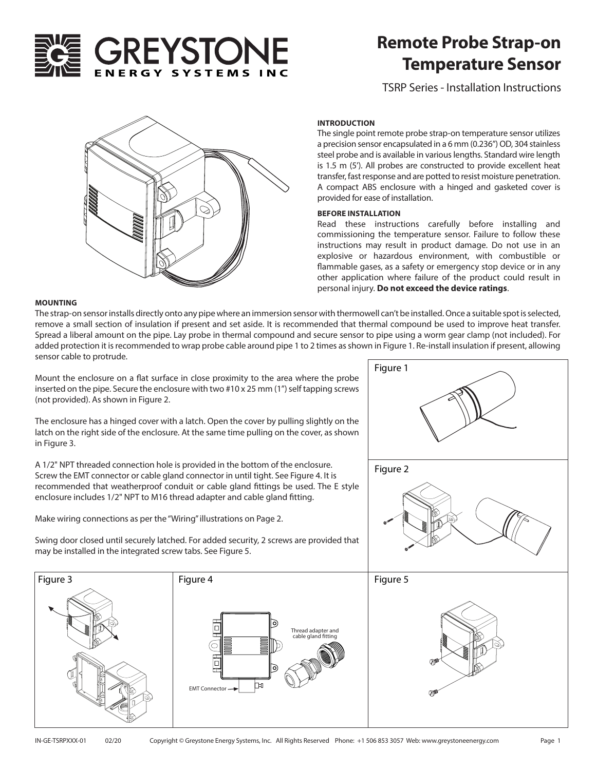

# **Remote Probe Strap-on Temperature Sensor**

TSRP Series - Installation Instructions



## **INTRODUCTION**

The single point remote probe strap-on temperature sensor utilizes a precision sensor encapsulated in a 6 mm (0.236") OD, 304 stainless steel probe and is available in various lengths. Standard wire length is 1.5 m (5'). All probes are constructed to provide excellent heat transfer, fast response and are potted to resist moisture penetration. A compact ABS enclosure with a hinged and gasketed cover is provided for ease of installation.

## **BEFORE INSTALLATION**

Read these instructions carefully before installing and commissioning the temperature sensor. Failure to follow these instructions may result in product damage. Do not use in an explosive or hazardous environment, with combustible or flammable gases, as a safety or emergency stop device or in any other application where failure of the product could result in personal injury. **Do not exceed the device ratings**.

#### **MOUNTING**

The strap-on sensor installs directly onto any pipe where an immersion sensor with thermowell can't be installed. Once a suitable spot is selected, remove a small section of insulation if present and set aside. It is recommended that thermal compound be used to improve heat transfer. Spread a liberal amount on the pipe. Lay probe in thermal compound and secure sensor to pipe using a worm gear clamp (not included). For added protection it is recommended to wrap probe cable around pipe 1 to 2 times as shown in Figure 1. Re-install insulation if present, allowing sensor cable to protrude.